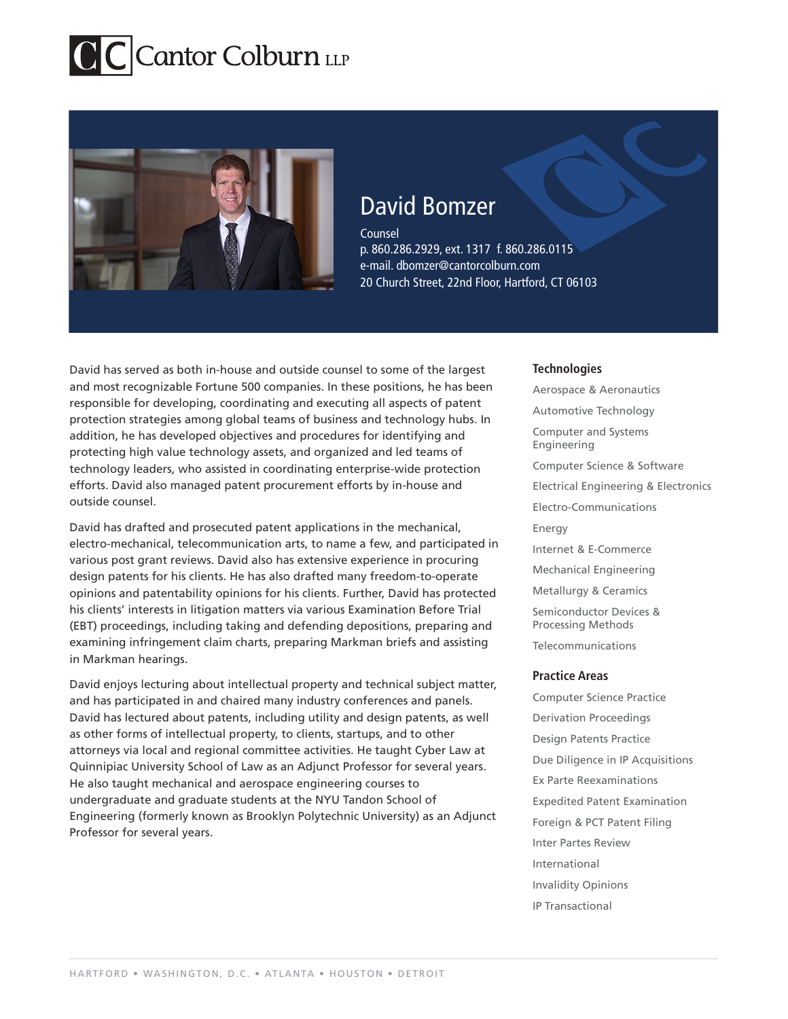

# David Bomzer

Counsel p. 860.286.2929, ext. 1317 f. 860.286.0115 e-mail. dbomzer@cantorcolburn.com 20 Church Street, 22nd Floor, Hartford, CT 06103

David has served as both in-house and outside counsel to some of the largest and most recognizable Fortune 500 companies. In these positions, he has been responsible for developing, coordinating and executing all aspects of patent protection strategies among global teams of business and technology hubs. In addition, he has developed objectives and procedures for identifying and protecting high value technology assets, and organized and led teams of technology leaders, who assisted in coordinating enterprise-wide protection efforts. David also managed patent procurement efforts by in-house and outside counsel.

David has drafted and prosecuted patent applications in the mechanical, electro-mechanical, telecommunication arts, to name a few, and participated in various post grant reviews. David also has extensive experience in procuring design patents for his clients. He has also drafted many freedom-to-operate opinions and patentability opinions for his clients. Further, David has protected his clients' interests in litigation matters via various Examination Before Trial (EBT) proceedings, including taking and defending depositions, preparing and examining infringement claim charts, preparing Markman briefs and assisting in Markman hearings.

David enjoys lecturing about intellectual property and technical subject matter, and has participated in and chaired many industry conferences and panels. David has lectured about patents, including utility and design patents, as well as other forms of intellectual property, to clients, startups, and to other attorneys via local and regional committee activities. He taught Cyber Law at Quinnipiac University School of Law as an Adjunct Professor for several years. He also taught mechanical and aerospace engineering courses to undergraduate and graduate students at the NYU Tandon School of Engineering (formerly known as Brooklyn Polytechnic University) as an Adjunct Professor for several years.

# **Technologies**

Aerospace & Aeronautics Automotive Technology Computer and Systems Engineering Computer Science & Software Electrical Engineering & Electronics Electro-Communications Energy Internet & E-Commerce Mechanical Engineering Metallurgy & Ceramics Semiconductor Devices & Processing Methods Telecommunications **Practice Areas**

Computer Science Practice Derivation Proceedings Design Patents Practice Due Diligence in IP Acquisitions Ex Parte Reexaminations Expedited Patent Examination Foreign & PCT Patent Filing Inter Partes Review International Invalidity Opinions IP Transactional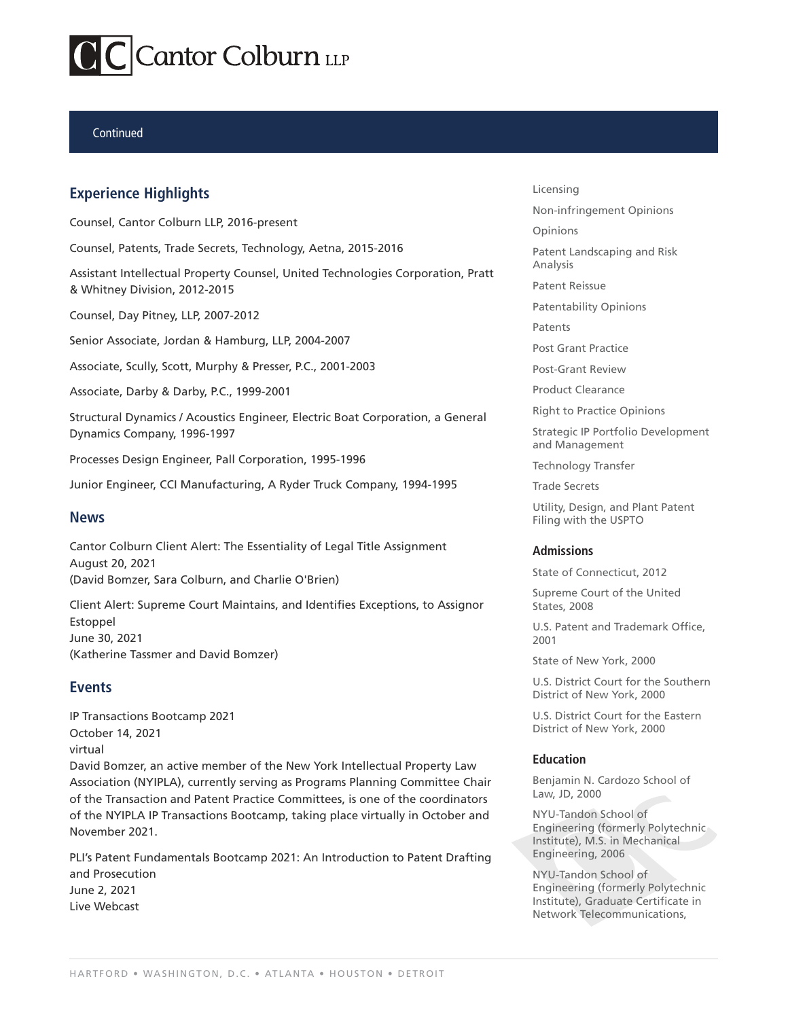## Continued

# **Experience Highlights**

Counsel, Cantor Colburn LLP, 2016-present

Counsel, Patents, Trade Secrets, Technology, Aetna, 2015-2016

Assistant Intellectual Property Counsel, United Technologies Corporation, Pratt & Whitney Division, 2012-2015

Counsel, Day Pitney, LLP, 2007-2012

Senior Associate, Jordan & Hamburg, LLP, 2004-2007

Associate, Scully, Scott, Murphy & Presser, P.C., 2001-2003

Associate, Darby & Darby, P.C., 1999-2001

Structural Dynamics / Acoustics Engineer, Electric Boat Corporation, a General Dynamics Company, 1996-1997

Processes Design Engineer, Pall Corporation, 1995-1996

Junior Engineer, CCI Manufacturing, A Ryder Truck Company, 1994-1995

# **News**

Cantor Colburn Client Alert: The Essentiality of Legal Title Assignment August 20, 2021 (David Bomzer, Sara Colburn, and Charlie O'Brien)

Client Alert: Supreme Court Maintains, and Identifies Exceptions, to Assignor Estoppel June 30, 2021 (Katherine Tassmer and David Bomzer)

# **Events**

IP Transactions Bootcamp 2021 October 14, 2021 virtual David Bomzer, an active member of the New York Intellectual Property Law Association (NYIPLA), currently serving as Programs Planning Committee Chair of the Transaction and Patent Practice Committees, is one of the coordinators of the NYIPLA IP Transactions Bootcamp, taking place virtually in October and November 2021.

PLI's Patent Fundamentals Bootcamp 2021: An Introduction to Patent Drafting and Prosecution June 2, 2021 Live Webcast

Licensing

Non-infringement Opinions

**Opinions** 

Patent Landscaping and Risk Analysis

Patent Reissue

Patentability Opinions

**Patents** 

Post Grant Practice

Post-Grant Review

Product Clearance

Right to Practice Opinions

Strategic IP Portfolio Development and Management

Technology Transfer

Trade Secrets

Utility, Design, and Plant Patent Filing with the USPTO

### **Admissions**

State of Connecticut, 2012

Supreme Court of the United States, 2008

U.S. Patent and Trademark Office, 2001

State of New York, 2000

U.S. District Court for the Southern District of New York, 2000

U.S. District Court for the Eastern District of New York, 2000

### **Education**

Benjamin N. Cardozo School of Law, JD, 2000

NYU-Tandon School of Engineering (formerly Polytechnic Institute), M.S. in Mechanical Engineering, 2006

NYU-Tandon School of Engineering (formerly Polytechnic Institute), Graduate Certificate in Network Telecommunications,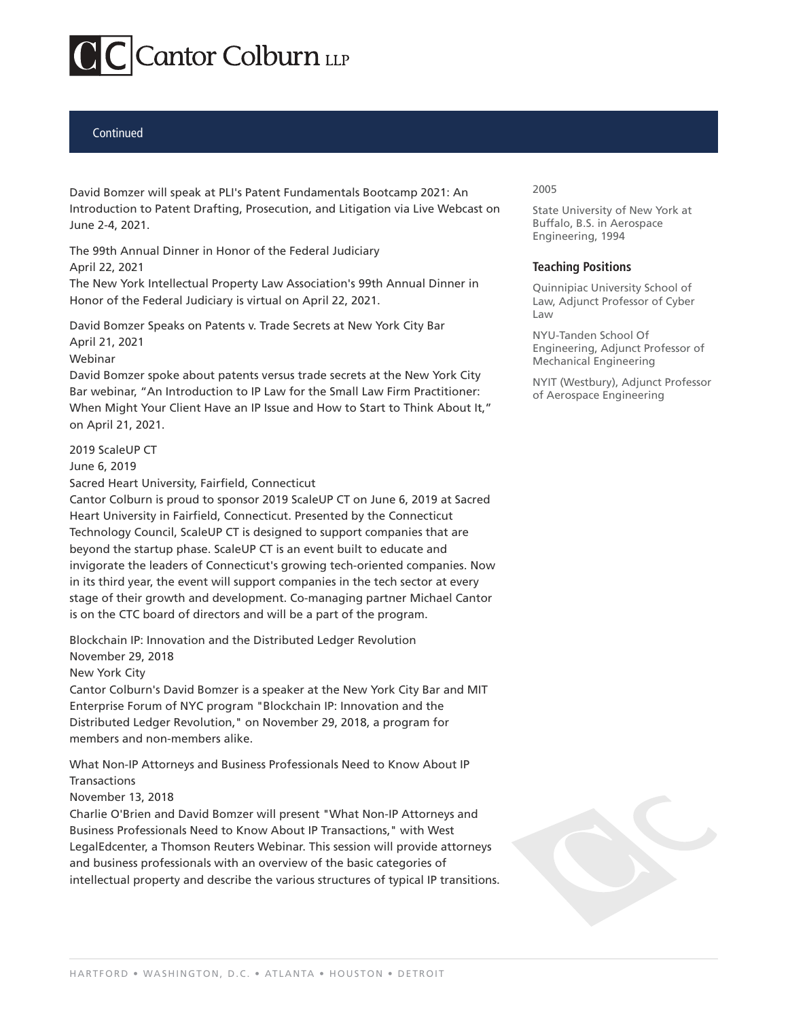# **Continued**

David Bomzer will speak at PLI's Patent Fundamentals Bootcamp 2021: An Introduction to Patent Drafting, Prosecution, and Litigation via Live Webcast on June 2-4, 2021.

The 99th Annual Dinner in Honor of the Federal Judiciary April 22, 2021

The New York Intellectual Property Law Association's 99th Annual Dinner in Honor of the Federal Judiciary is virtual on April 22, 2021.

David Bomzer Speaks on Patents v. Trade Secrets at New York City Bar April 21, 2021

### Webinar

David Bomzer spoke about patents versus trade secrets at the New York City Bar webinar, "An Introduction to IP Law for the Small Law Firm Practitioner: When Might Your Client Have an IP Issue and How to Start to Think About It," on April 21, 2021.

2019 ScaleUP CT

June 6, 2019

Sacred Heart University, Fairfield, Connecticut

Cantor Colburn is proud to sponsor 2019 ScaleUP CT on June 6, 2019 at Sacred Heart University in Fairfield, Connecticut. Presented by the Connecticut Technology Council, ScaleUP CT is designed to support companies that are beyond the startup phase. ScaleUP CT is an event built to educate and invigorate the leaders of Connecticut's growing tech-oriented companies. Now in its third year, the event will support companies in the tech sector at every stage of their growth and development. Co-managing partner Michael Cantor is on the CTC board of directors and will be a part of the program.

Blockchain IP: Innovation and the Distributed Ledger Revolution November 29, 2018

New York City

Cantor Colburn's David Bomzer is a speaker at the New York City Bar and MIT Enterprise Forum of NYC program "Blockchain IP: Innovation and the Distributed Ledger Revolution," on November 29, 2018, a program for members and non-members alike.

What Non-IP Attorneys and Business Professionals Need to Know About IP Transactions

November 13, 2018

Charlie O'Brien and David Bomzer will present "What Non-IP Attorneys and Business Professionals Need to Know About IP Transactions," with West LegalEdcenter, a Thomson Reuters Webinar. This session will provide attorneys and business professionals with an overview of the basic categories of intellectual property and describe the various structures of typical IP transitions.

### 2005

State University of New York at Buffalo, B.S. in Aerospace Engineering, 1994

# **Teaching Positions**

Quinnipiac University School of Law, Adjunct Professor of Cyber Law

NYU-Tanden School Of Engineering, Adjunct Professor of Mechanical Engineering

NYIT (Westbury), Adjunct Professor of Aerospace Engineering

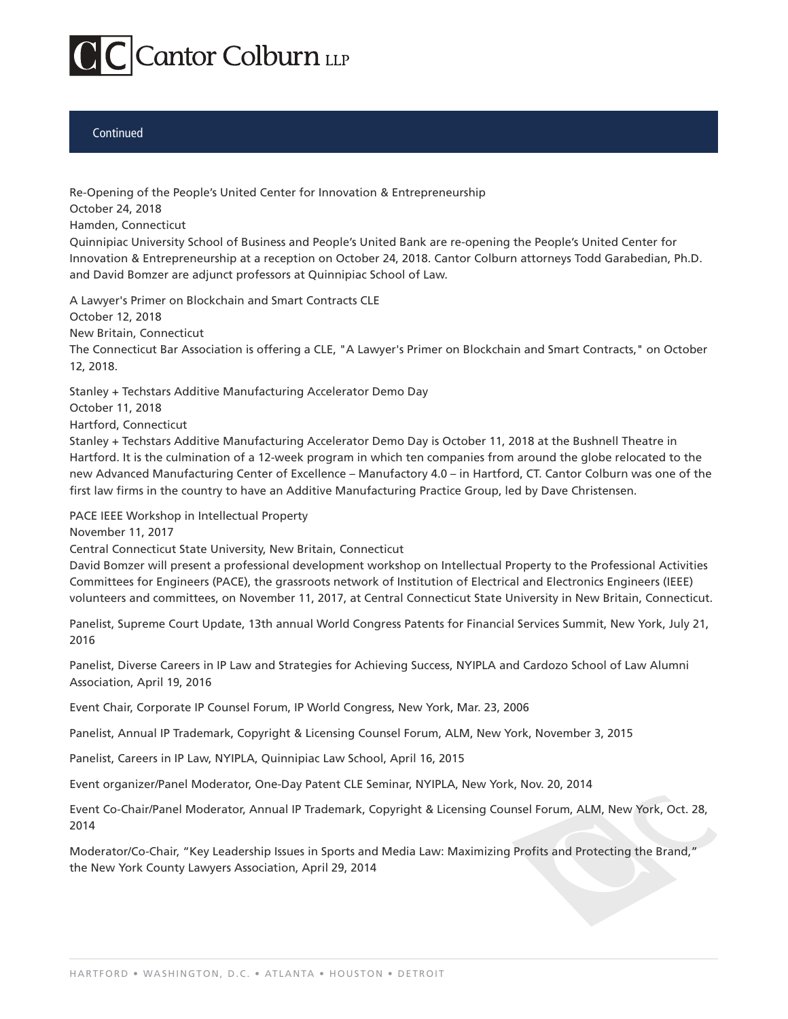

## Continued

Re-Opening of the People's United Center for Innovation & Entrepreneurship October 24, 2018

Hamden, Connecticut

Quinnipiac University School of Business and People's United Bank are re-opening the People's United Center for Innovation & Entrepreneurship at a reception on October 24, 2018. Cantor Colburn attorneys Todd Garabedian, Ph.D. and David Bomzer are adjunct professors at Quinnipiac School of Law.

A Lawyer's Primer on Blockchain and Smart Contracts CLE

October 12, 2018

New Britain, Connecticut

The Connecticut Bar Association is offering a CLE, "A Lawyer's Primer on Blockchain and Smart Contracts," on October 12, 2018.

Stanley + Techstars Additive Manufacturing Accelerator Demo Day

October 11, 2018

Hartford, Connecticut

Stanley + Techstars Additive Manufacturing Accelerator Demo Day is October 11, 2018 at the Bushnell Theatre in Hartford. It is the culmination of a 12-week program in which ten companies from around the globe relocated to the new Advanced Manufacturing Center of Excellence – Manufactory 4.0 – in Hartford, CT. Cantor Colburn was one of the first law firms in the country to have an Additive Manufacturing Practice Group, led by Dave Christensen.

PACE IEEE Workshop in Intellectual Property

November 11, 2017

Central Connecticut State University, New Britain, Connecticut

David Bomzer will present a professional development workshop on Intellectual Property to the Professional Activities Committees for Engineers (PACE), the grassroots network of Institution of Electrical and Electronics Engineers (IEEE) volunteers and committees, on November 11, 2017, at Central Connecticut State University in New Britain, Connecticut.

Panelist, Supreme Court Update, 13th annual World Congress Patents for Financial Services Summit, New York, July 21, 2016

Panelist, Diverse Careers in IP Law and Strategies for Achieving Success, NYIPLA and Cardozo School of Law Alumni Association, April 19, 2016

Event Chair, Corporate IP Counsel Forum, IP World Congress, New York, Mar. 23, 2006

Panelist, Annual IP Trademark, Copyright & Licensing Counsel Forum, ALM, New York, November 3, 2015

Panelist, Careers in IP Law, NYIPLA, Quinnipiac Law School, April 16, 2015

Event organizer/Panel Moderator, One-Day Patent CLE Seminar, NYIPLA, New York, Nov. 20, 2014

Event Co-Chair/Panel Moderator, Annual IP Trademark, Copyright & Licensing Counsel Forum, ALM, New York, Oct. 28, 2014

Moderator/Co-Chair, "Key Leadership Issues in Sports and Media Law: Maximizing Profits and Protecting the Brand," the New York County Lawyers Association, April 29, 2014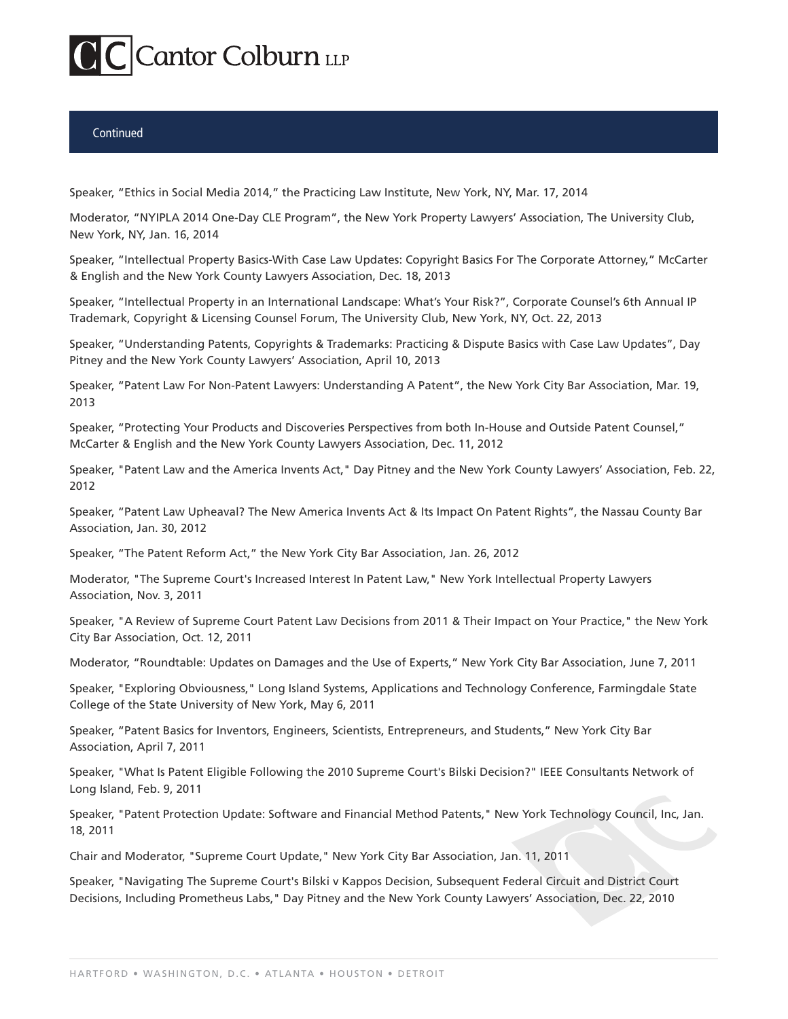# **Continued**

Speaker, "Ethics in Social Media 2014," the Practicing Law Institute, New York, NY, Mar. 17, 2014

Moderator, "NYIPLA 2014 One-Day CLE Program", the New York Property Lawyers' Association, The University Club, New York, NY, Jan. 16, 2014

Speaker, "Intellectual Property Basics-With Case Law Updates: Copyright Basics For The Corporate Attorney," McCarter & English and the New York County Lawyers Association, Dec. 18, 2013

Speaker, "Intellectual Property in an International Landscape: What's Your Risk?", Corporate Counsel's 6th Annual IP Trademark, Copyright & Licensing Counsel Forum, The University Club, New York, NY, Oct. 22, 2013

Speaker, "Understanding Patents, Copyrights & Trademarks: Practicing & Dispute Basics with Case Law Updates", Day Pitney and the New York County Lawyers' Association, April 10, 2013

Speaker, "Patent Law For Non-Patent Lawyers: Understanding A Patent", the New York City Bar Association, Mar. 19, 2013

Speaker, "Protecting Your Products and Discoveries Perspectives from both In-House and Outside Patent Counsel," McCarter & English and the New York County Lawyers Association, Dec. 11, 2012

Speaker, "Patent Law and the America Invents Act," Day Pitney and the New York County Lawyers' Association, Feb. 22, 2012

Speaker, "Patent Law Upheaval? The New America Invents Act & Its Impact On Patent Rights", the Nassau County Bar Association, Jan. 30, 2012

Speaker, "The Patent Reform Act," the New York City Bar Association, Jan. 26, 2012

Moderator, "The Supreme Court's Increased Interest In Patent Law," New York Intellectual Property Lawyers Association, Nov. 3, 2011

Speaker, "A Review of Supreme Court Patent Law Decisions from 2011 & Their Impact on Your Practice," the New York City Bar Association, Oct. 12, 2011

Moderator, "Roundtable: Updates on Damages and the Use of Experts," New York City Bar Association, June 7, 2011

Speaker, "Exploring Obviousness," Long Island Systems, Applications and Technology Conference, Farmingdale State College of the State University of New York, May 6, 2011

Speaker, "Patent Basics for Inventors, Engineers, Scientists, Entrepreneurs, and Students," New York City Bar Association, April 7, 2011

Speaker, "What Is Patent Eligible Following the 2010 Supreme Court's Bilski Decision?" IEEE Consultants Network of Long Island, Feb. 9, 2011

Speaker, "Patent Protection Update: Software and Financial Method Patents," New York Technology Council, Inc, Jan. 18, 2011

Chair and Moderator, "Supreme Court Update," New York City Bar Association, Jan. 11, 2011

Speaker, "Navigating The Supreme Court's Bilski v Kappos Decision, Subsequent Federal Circuit and District Court Decisions, Including Prometheus Labs," Day Pitney and the New York County Lawyers' Association, Dec. 22, 2010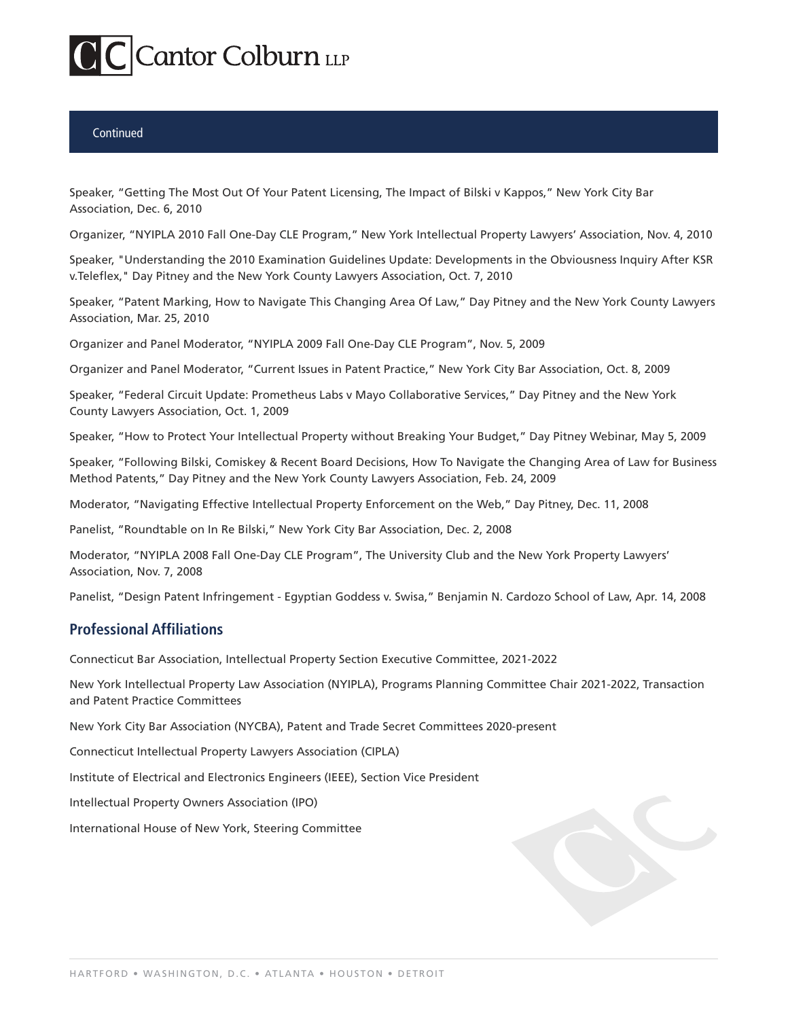# **Continued**

Speaker, "Getting The Most Out Of Your Patent Licensing, The Impact of Bilski v Kappos," New York City Bar Association, Dec. 6, 2010

Organizer, "NYIPLA 2010 Fall One-Day CLE Program," New York Intellectual Property Lawyers' Association, Nov. 4, 2010

Speaker, "Understanding the 2010 Examination Guidelines Update: Developments in the Obviousness Inquiry After KSR v.Teleflex," Day Pitney and the New York County Lawyers Association, Oct. 7, 2010

Speaker, "Patent Marking, How to Navigate This Changing Area Of Law," Day Pitney and the New York County Lawyers Association, Mar. 25, 2010

Organizer and Panel Moderator, "NYIPLA 2009 Fall One-Day CLE Program", Nov. 5, 2009

Organizer and Panel Moderator, "Current Issues in Patent Practice," New York City Bar Association, Oct. 8, 2009

Speaker, "Federal Circuit Update: Prometheus Labs v Mayo Collaborative Services," Day Pitney and the New York County Lawyers Association, Oct. 1, 2009

Speaker, "How to Protect Your Intellectual Property without Breaking Your Budget," Day Pitney Webinar, May 5, 2009

Speaker, "Following Bilski, Comiskey & Recent Board Decisions, How To Navigate the Changing Area of Law for Business Method Patents," Day Pitney and the New York County Lawyers Association, Feb. 24, 2009

Moderator, "Navigating Effective Intellectual Property Enforcement on the Web," Day Pitney, Dec. 11, 2008

Panelist, "Roundtable on In Re Bilski," New York City Bar Association, Dec. 2, 2008

Moderator, "NYIPLA 2008 Fall One-Day CLE Program", The University Club and the New York Property Lawyers' Association, Nov. 7, 2008

Panelist, "Design Patent Infringement - Egyptian Goddess v. Swisa," Benjamin N. Cardozo School of Law, Apr. 14, 2008

# **Professional Affiliations**

Connecticut Bar Association, Intellectual Property Section Executive Committee, 2021-2022

New York Intellectual Property Law Association (NYIPLA), Programs Planning Committee Chair 2021-2022, Transaction and Patent Practice Committees

New York City Bar Association (NYCBA), Patent and Trade Secret Committees 2020-present

Connecticut Intellectual Property Lawyers Association (CIPLA)

Institute of Electrical and Electronics Engineers (IEEE), Section Vice President

Intellectual Property Owners Association (IPO)

International House of New York, Steering Committee

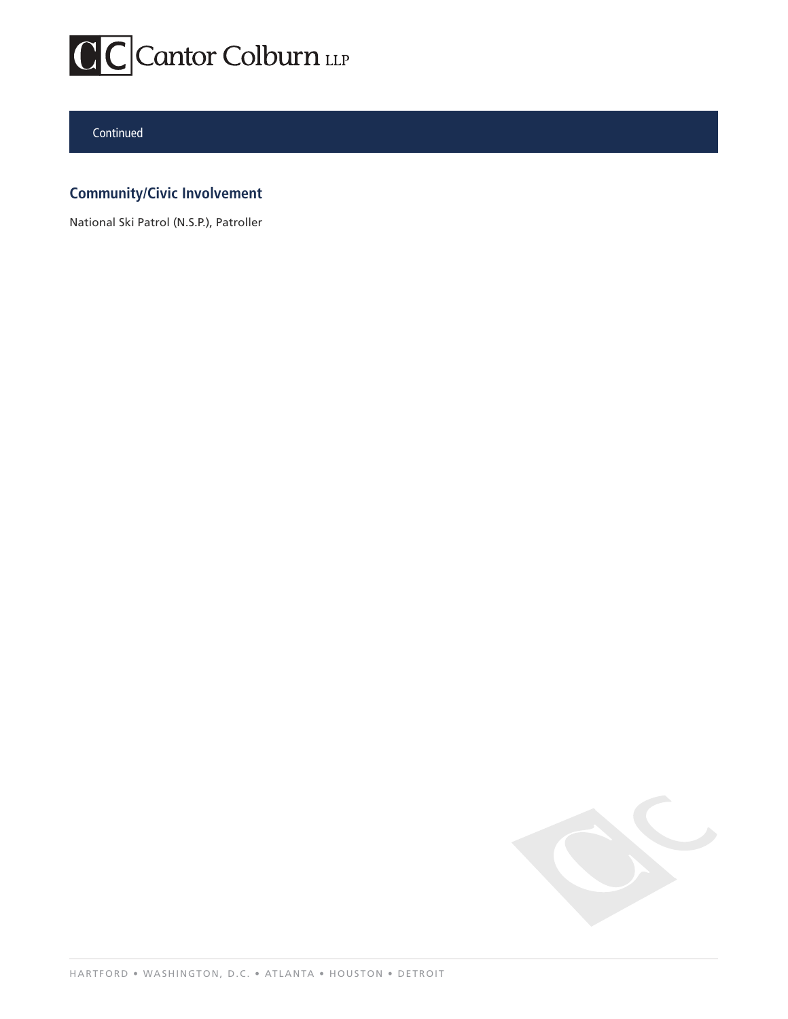

# Continued

# **Community/Civic Involvement**

National Ski Patrol (N.S.P.), Patroller

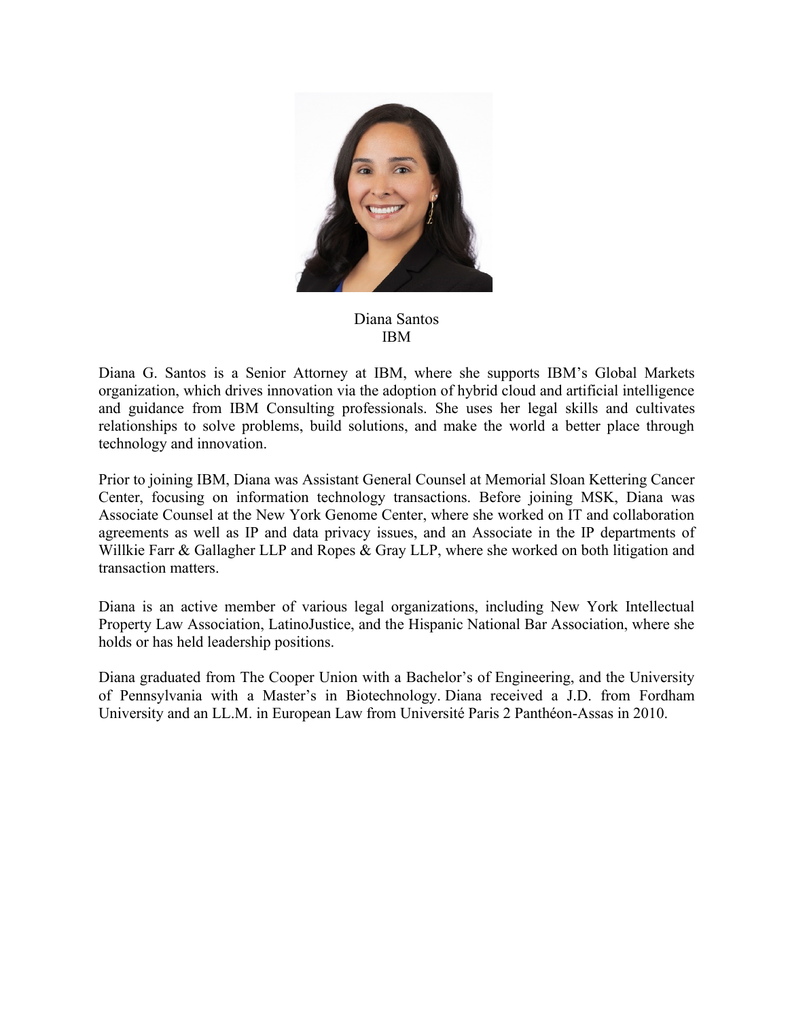

# Diana Santos IBM

Diana G. Santos is a Senior Attorney at IBM, where she supports IBM's Global Markets organization, which drives innovation via the adoption of hybrid cloud and artificial intelligence and guidance from IBM Consulting professionals. She uses her legal skills and cultivates relationships to solve problems, build solutions, and make the world a better place through technology and innovation.

Prior to joining IBM, Diana was Assistant General Counsel at Memorial Sloan Kettering Cancer Center, focusing on information technology transactions. Before joining MSK, Diana was Associate Counsel at the New York Genome Center, where she worked on IT and collaboration agreements as well as IP and data privacy issues, and an Associate in the IP departments of Willkie Farr & Gallagher LLP and Ropes & Gray LLP, where she worked on both litigation and transaction matters.

Diana is an active member of various legal organizations, including New York Intellectual Property Law Association, LatinoJustice, and the Hispanic National Bar Association, where she holds or has held leadership positions.

Diana graduated from The Cooper Union with a Bachelor's of Engineering, and the University of Pennsylvania with a Master's in Biotechnology. Diana received a J.D. from Fordham University and an LL.M. in European Law from Université Paris 2 Panthéon-Assas in 2010.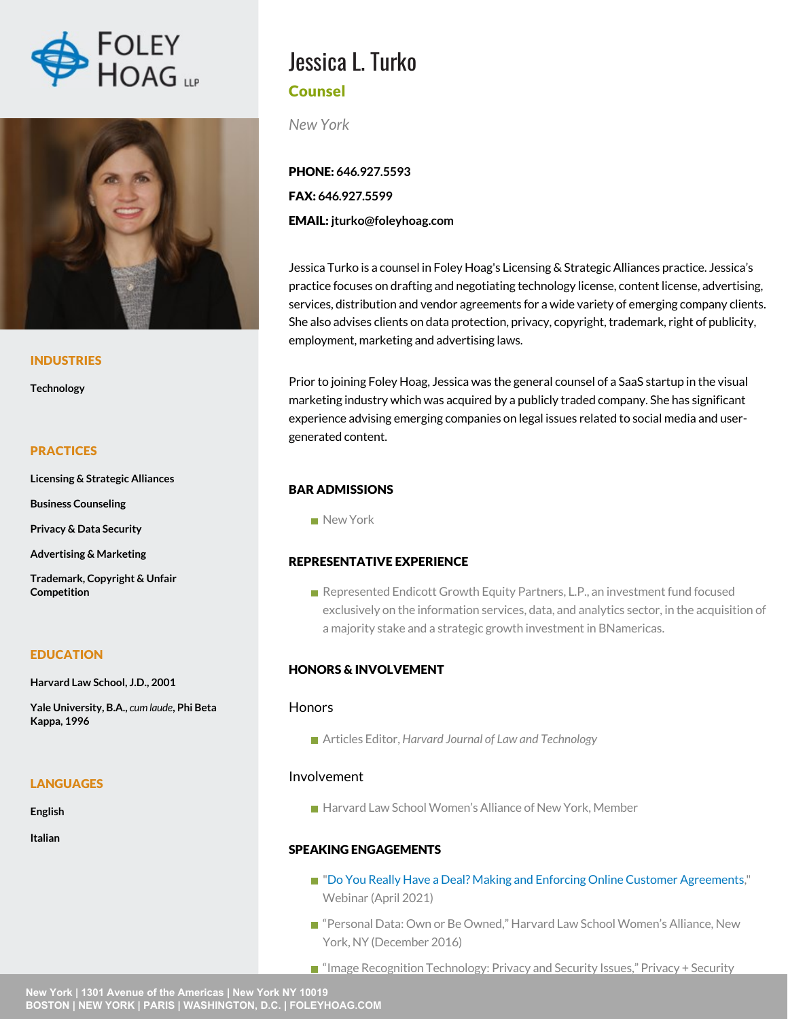



### INDUSTRIES

**Technology**

### **PRACTICES**

**Licensing & Strategic Alliances**

**Business Counseling**

**Privacy & Data Security**

**Advertising & Marketing**

**Trademark, Copyright & Unfair Competition**

# EDUCATION

**Harvard Law School, J.D., 2001**

**Yale University, B.A.,** *cum laude***, Phi Beta Kappa, 1996**

### **LANGUAGES**

**English**

**Italian**

# Jessica L. Turko Counsel

*New York*

PHONE: **646.927.5593** FAX: **646.927.5599** EMAIL: **jturko@foleyhoag.com**

Jessica Turko is a counsel in Foley Hoag's Licensing & Strategic Alliances practice. Jessica's practice focuses on drafting and negotiating technology license, content license, advertising, services, distribution and vendor agreements for a wide variety of emerging company clients. She also advises clients on data protection, privacy, copyright, trademark, right of publicity, employment, marketing and advertising laws.

Prior to joining Foley Hoag, Jessica was the general counsel of a SaaS startup in the visual marketing industry which was acquired by a publicly traded company. She has significant experience advising emerging companies on legal issues related to social media and usergenerated content.

# BAR ADMISSIONS

New York

### REPRESENTATIVE EXPERIENCE

Represented Endicott Growth Equity Partners, L.P., an investment fund focused exclusively on the information services, data, and analytics sector, in the acquisition of a majority stake and a strategic growth investment in BNamericas.

# HONORS & INVOLVEMENT

### **Honors**

Articles Editor, *Harvard Journal of Law and Technology*

# Involvement

■ Harvard Law School Women's Alliance of New York, Member

# SPEAKING ENGAGEMENTS

- ["Do You Really Have a Deal? Making and Enforcing Online Customer Agreements](https://foleyhoag.com/news-and-events/media-center/2021/do-you-really-have-a-deal-making-and-enforcing-online-customer-agreements)," Webinar (April 2021)
- "Personal Data: Own or Be Owned," Harvard Law School Women's Alliance, New York, NY (December 2016)
- "Image Recognition Technology: Privacy and Security Issues," Privacy + Security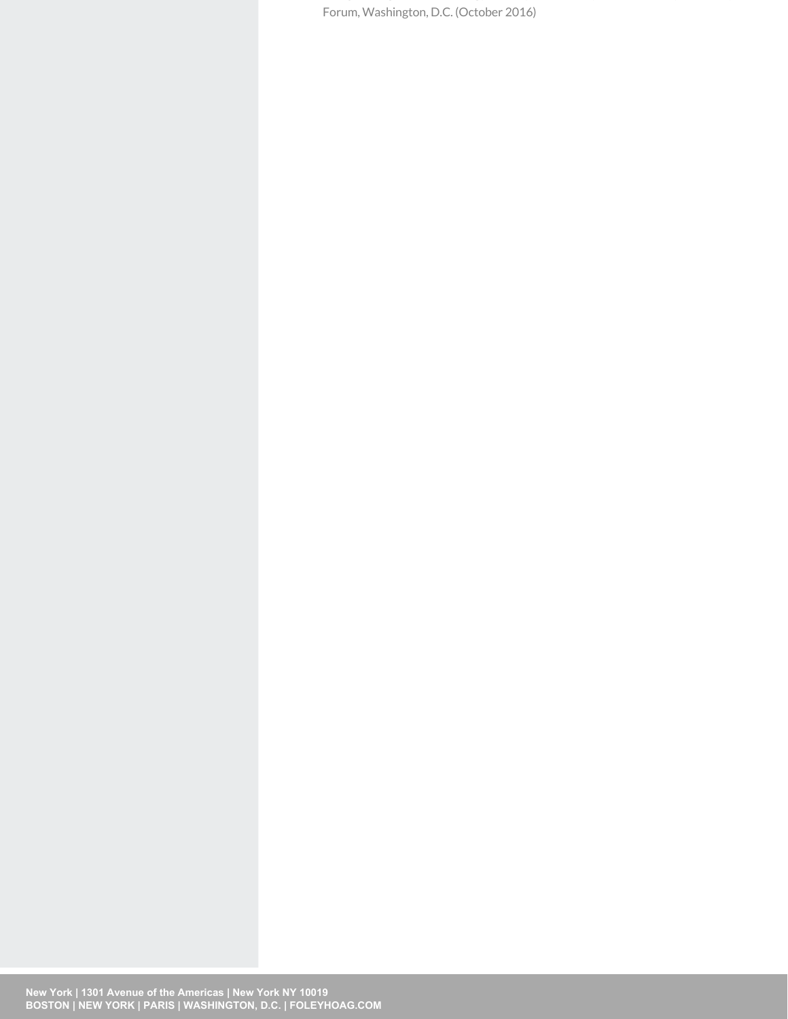"Image Recognition Technology: Privacy and Security Issues," Privacy + Security Forum, Washington, D.C. (October 2016)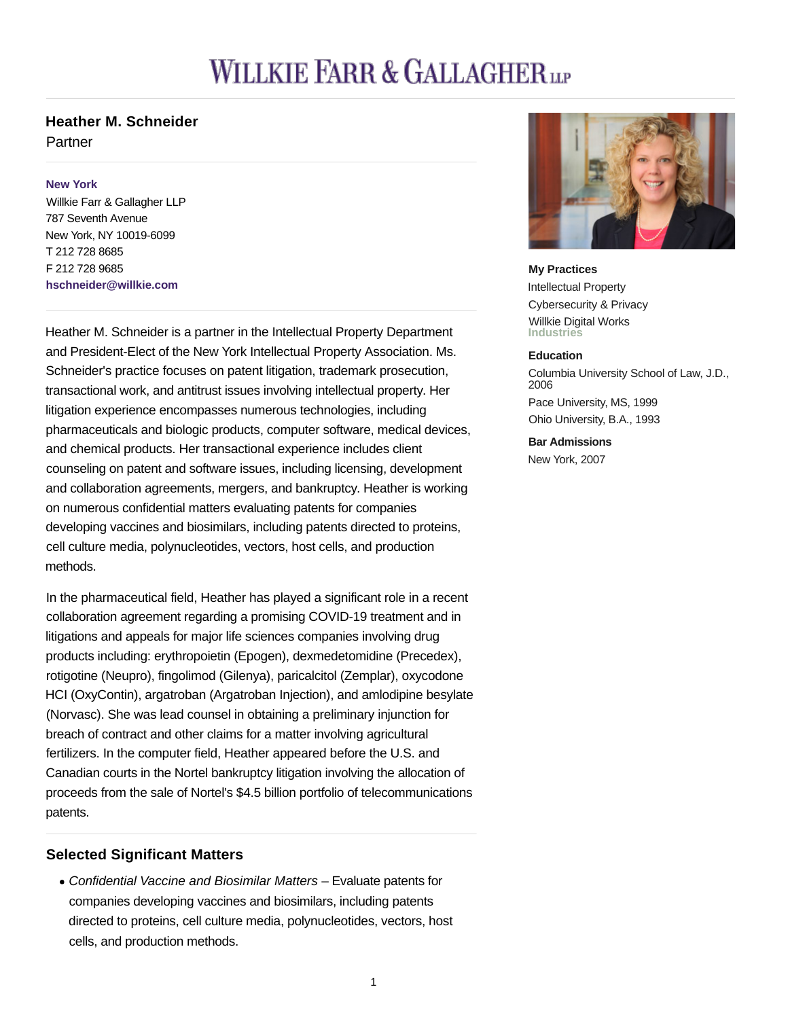# **WILLKIE FARR & GALLAGHER** LE

# **Heather M. Schneider**

Partner

# **New York**

Willkie Farr & Gallagher LLP 787 Seventh Avenue New York, NY 10019-6099 T 212 728 8685 F 212 728 9685 **hschneider@willkie.com**

Heather M. Schneider is a partner in the Intellectual Property Department and President-Elect of the New York Intellectual Property Association. Ms. Schneider's practice focuses on patent litigation, trademark prosecution, transactional work, and antitrust issues involving intellectual property. Her litigation experience encompasses numerous technologies, including pharmaceuticals and biologic products, computer software, medical devices, and chemical products. Her transactional experience includes client counseling on patent and software issues, including licensing, development and collaboration agreements, mergers, and bankruptcy. Heather is working on numerous confidential matters evaluating patents for companies developing vaccines and biosimilars, including patents directed to proteins, cell culture media, polynucleotides, vectors, host cells, and production methods.

In the pharmaceutical field, Heather has played a significant role in a recent collaboration agreement regarding a promising COVID-19 treatment and in litigations and appeals for major life sciences companies involving drug products including: erythropoietin (Epogen), dexmedetomidine (Precedex), rotigotine (Neupro), fingolimod (Gilenya), paricalcitol (Zemplar), oxycodone HCI (OxyContin), argatroban (Argatroban Injection), and amlodipine besylate (Norvasc). She was lead counsel in obtaining a preliminary injunction for breach of contract and other claims for a matter involving agricultural fertilizers. In the computer field, Heather appeared before the U.S. and Canadian courts in the Nortel bankruptcy litigation involving the allocation of proceeds from the sale of Nortel's \$4.5 billion portfolio of telecommunications patents.

# **Selected Significant Matters**

Confidential Vaccine and Biosimilar Matters – Evaluate patents for companies developing vaccines and biosimilars, including patents directed to proteins, cell culture media, polynucleotides, vectors, host cells, and production methods.



**My Practices** Intellectual Property Cybersecurity & Privacy Willkie Digital Works **Industries**

# **Education**

Columbia University School of Law, J.D., 2006 Pace University, MS, 1999 Ohio University, B.A., 1993

**Bar Admissions** New York, 2007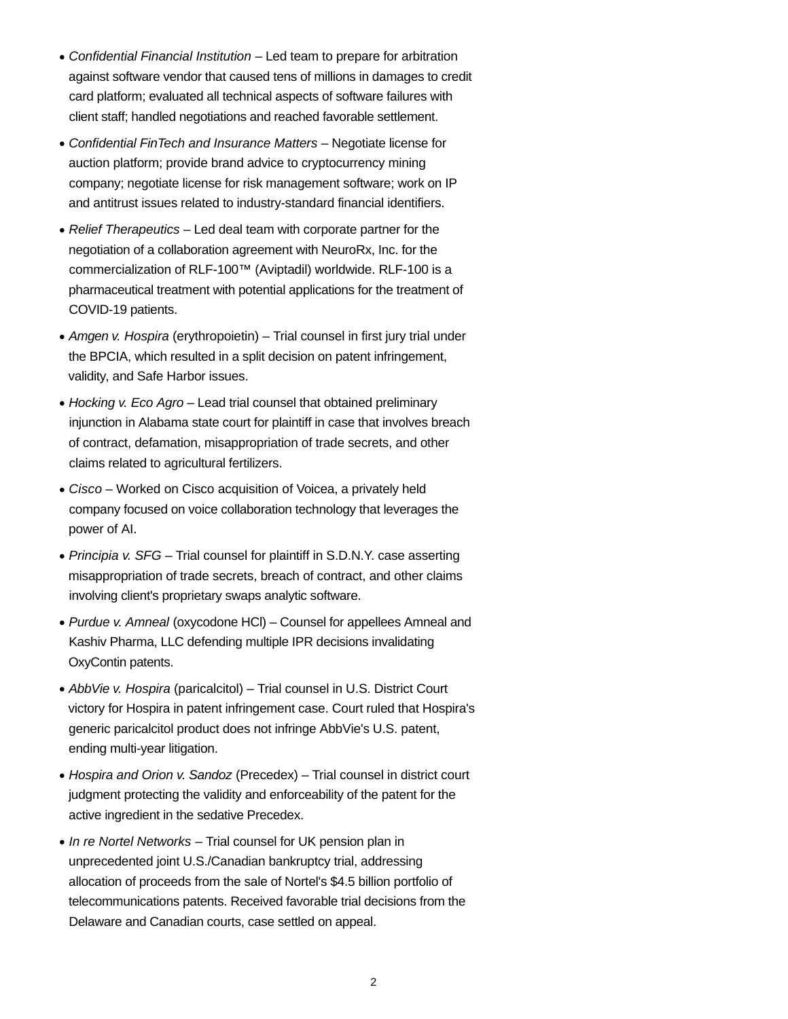- Confidential Financial Institution Led team to prepare for arbitration against software vendor that caused tens of millions in damages to credit card platform; evaluated all technical aspects of software failures with client staff; handled negotiations and reached favorable settlement.
- Confidential FinTech and Insurance Matters Negotiate license for auction platform; provide brand advice to cryptocurrency mining company; negotiate license for risk management software; work on IP and antitrust issues related to industry-standard financial identifiers.
- Relief Therapeutics Led deal team with corporate partner for the negotiation of a collaboration agreement with NeuroRx, Inc. for the commercialization of RLF-100™ (Aviptadil) worldwide. RLF-100 is a pharmaceutical treatment with potential applications for the treatment of COVID-19 patients.
- Amgen v. Hospira (erythropoietin) Trial counsel in first jury trial under the BPCIA, which resulted in a split decision on patent infringement, validity, and Safe Harbor issues.
- Hocking v. Eco Agro Lead trial counsel that obtained preliminary injunction in Alabama state court for plaintiff in case that involves breach of contract, defamation, misappropriation of trade secrets, and other claims related to agricultural fertilizers.
- Cisco Worked on Cisco acquisition of Voicea, a privately held company focused on voice collaboration technology that leverages the power of AI.
- Principia v. SFG Trial counsel for plaintiff in S.D.N.Y. case asserting misappropriation of trade secrets, breach of contract, and other claims involving client's proprietary swaps analytic software.
- Purdue v. Amneal (oxycodone HCl) Counsel for appellees Amneal and Kashiv Pharma, LLC defending multiple IPR decisions invalidating OxyContin patents.
- AbbVie v. Hospira (paricalcitol) Trial counsel in U.S. District Court victory for Hospira in patent infringement case. Court ruled that Hospira's generic paricalcitol product does not infringe AbbVie's U.S. patent, ending multi-year litigation.
- Hospira and Orion v. Sandoz (Precedex) Trial counsel in district court judgment protecting the validity and enforceability of the patent for the active ingredient in the sedative Precedex.
- $\bullet$  In re Nortel Networks Trial counsel for UK pension plan in unprecedented joint U.S./Canadian bankruptcy trial, addressing allocation of proceeds from the sale of Nortel's \$4.5 billion portfolio of telecommunications patents. Received favorable trial decisions from the Delaware and Canadian courts, case settled on appeal.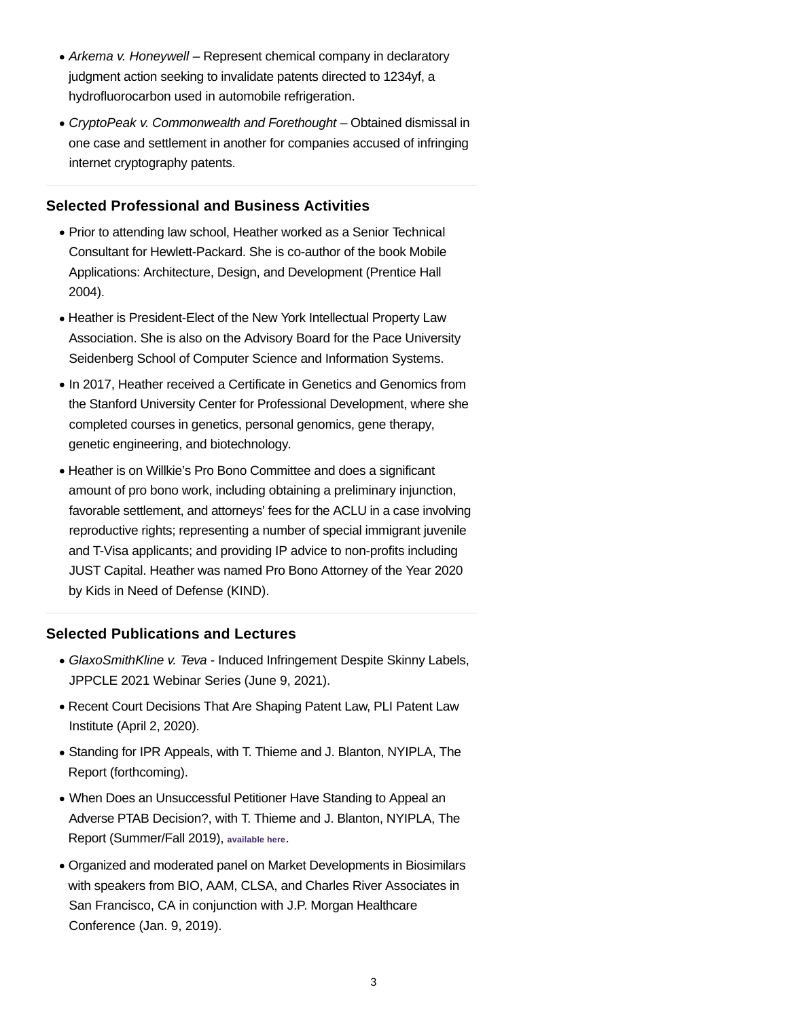- Arkema v. Honeywell Represent chemical company in declaratory judgment action seeking to invalidate patents directed to 1234yf, a hydrofluorocarbon used in automobile refrigeration.
- CryptoPeak v. Commonwealth and Forethought Obtained dismissal in one case and settlement in another for companies accused of infringing internet cryptography patents.

# **Selected Professional and Business Activities**

- Prior to attending law school, Heather worked as a Senior Technical Consultant for Hewlett-Packard. She is co-author of the book Mobile Applications: Architecture, Design, and Development (Prentice Hall 2004).
- Heather is President-Elect of the New York Intellectual Property Law Association. She is also on the Advisory Board for the Pace University Seidenberg School of Computer Science and Information Systems.
- In 2017, Heather received a Certificate in Genetics and Genomics from the Stanford University Center for Professional Development, where she completed courses in genetics, personal genomics, gene therapy, genetic engineering, and biotechnology.
- Heather is on Willkie's Pro Bono Committee and does a significant amount of pro bono work, including obtaining a preliminary injunction, favorable settlement, and attorneys' fees for the ACLU in a case involving reproductive rights; representing a number of special immigrant juvenile and T-Visa applicants; and providing IP advice to non-profits including JUST Capital. Heather was named Pro Bono Attorney of the Year 2020 by Kids in Need of Defense (KIND).

# **Selected Publications and Lectures**

- GlaxoSmithKline v. Teva Induced Infringement Despite Skinny Labels, JPPCLE 2021 Webinar Series (June 9, 2021).
- Recent Court Decisions That Are Shaping Patent Law, PLI Patent Law Institute (April 2, 2020).
- Standing for IPR Appeals, with T. Thieme and J. Blanton, NYIPLA, The Report (forthcoming).
- When Does an Unsuccessful Petitioner Have Standing to Appeal an Adverse PTAB Decision?, with T. Thieme and J. Blanton, NYIPLA, The Report (Summer/Fall 2019), **available here**.
- Organized and moderated panel on Market Developments in Biosimilars with speakers from BIO, AAM, CLSA, and Charles River Associates in San Francisco, CA in conjunction with J.P. Morgan Healthcare Conference (Jan. 9, 2019).